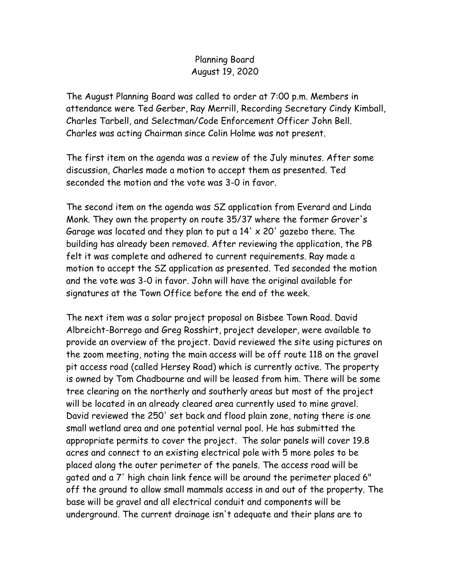## Planning Board August 19, 2020

The August Planning Board was called to order at 7:00 p.m. Members in attendance were Ted Gerber, Ray Merrill, Recording Secretary Cindy Kimball, Charles Tarbell, and Selectman/Code Enforcement Officer John Bell. Charles was acting Chairman since Colin Holme was not present.

The first item on the agenda was a review of the July minutes. After some discussion, Charles made a motion to accept them as presented. Ted seconded the motion and the vote was 3-0 in favor.

The second item on the agenda was SZ application from Everard and Linda Monk. They own the property on route 35/37 where the former Grover's Garage was located and they plan to put a  $14' \times 20'$  gazebo there. The building has already been removed. After reviewing the application, the PB felt it was complete and adhered to current requirements. Ray made a motion to accept the SZ application as presented. Ted seconded the motion and the vote was 3-0 in favor. John will have the original available for signatures at the Town Office before the end of the week.

The next item was a solar project proposal on Bisbee Town Road. David Albreicht-Borrego and Greg Rosshirt, project developer, were available to provide an overview of the project. David reviewed the site using pictures on the zoom meeting, noting the main access will be off route 118 on the gravel pit access road (called Hersey Road) which is currently active. The property is owned by Tom Chadbourne and will be leased from him. There will be some tree clearing on the northerly and southerly areas but most of the project will be located in an already cleared area currently used to mine gravel. David reviewed the 250' set back and flood plain zone, noting there is one small wetland area and one potential vernal pool. He has submitted the appropriate permits to cover the project. The solar panels will cover 19.8 acres and connect to an existing electrical pole with 5 more poles to be placed along the outer perimeter of the panels. The access road will be gated and a 7' high chain link fence will be around the perimeter placed 6" off the ground to allow small mammals access in and out of the property. The base will be gravel and all electrical conduit and components will be underground. The current drainage isn't adequate and their plans are to